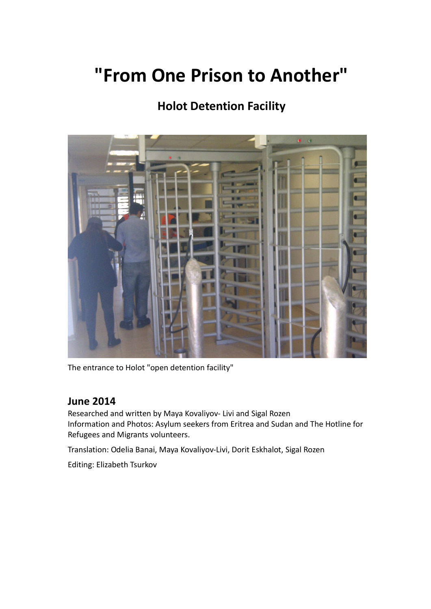# **"From One Prison to Another"**

# **Holot Detention Facility**



The entrance to Holot "open detention facility"

# **June 2014**

Researched and written by Maya Kovaliyov- Livi and Sigal Rozen Information and Photos: Asylum seekers from Eritrea and Sudan and The Hotline for Refugees and Migrants volunteers.

Translation: Odelia Banai, Maya Kovaliyov-Livi, Dorit Eskhalot, Sigal Rozen

Editing: Elizabeth Tsurkov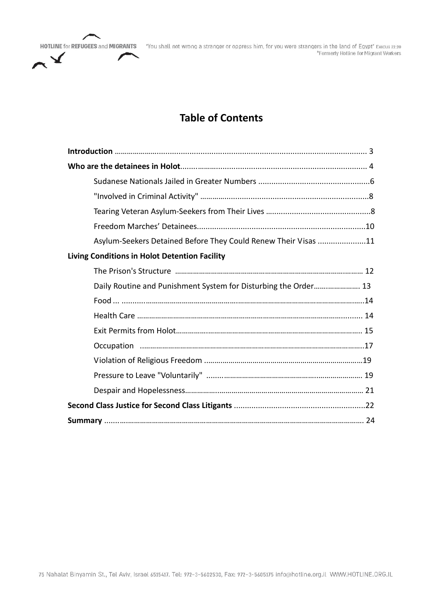

HOTLINE for REFUGEES and MIGRANTS "You shall not wrong a stranger or oppress him, for you were strangers in the land of Egypt" Exodus 22:20 \*Formerly Hotline for Migrant Workers

# **Table of Contents**

| Asylum-Seekers Detained Before They Could Renew Their Visas 11  |
|-----------------------------------------------------------------|
| <b>Living Conditions in Holot Detention Facility</b>            |
|                                                                 |
| Daily Routine and Punishment System for Disturbing the Order 13 |
|                                                                 |
|                                                                 |
|                                                                 |
|                                                                 |
|                                                                 |
|                                                                 |
|                                                                 |
|                                                                 |
|                                                                 |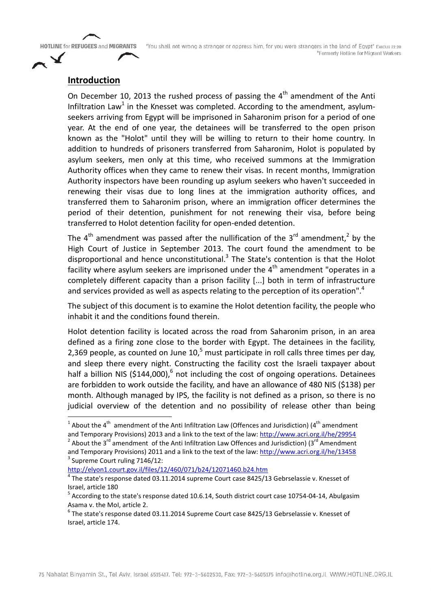"You shall not wrong a stranger or oppress him, for you were strangers in the land of Egypt" Execus 22:20 \*Formerly Hotline for Migrant Workers

### **Introduction**

On December 10, 2013 the rushed process of passing the  $4<sup>th</sup>$  amendment of the Anti Infiltration Law<sup>1</sup> in the Knesset was completed. According to the amendment, asylumseekers arriving from Egypt will be imprisoned in Saharonim prison for a period of one year. At the end of one year, the detainees will be transferred to the open prison known as the "Holot" until they will be willing to return to their home country. In addition to hundreds of prisoners transferred from Saharonim, Holot is populated by asylum seekers, men only at this time, who received summons at the Immigration Authority offices when they came to renew their visas. In recent months, Immigration Authority inspectors have been rounding up asylum seekers who haven't succeeded in renewing their visas due to long lines at the immigration authority offices, and transferred them to Saharonim prison, where an immigration officer determines the period of their detention, punishment for not renewing their visa, before being transferred to Holot detention facility for open-ended detention.

The  $4<sup>th</sup>$  amendment was passed after the nullification of the 3<sup>rd</sup> amendment,<sup>2</sup> by the High Court of Justice in September 2013. The court found the amendment to be disproportional and hence unconstitutional.<sup>3</sup> The State's contention is that the Holot facility where asylum seekers are imprisoned under the  $4<sup>th</sup>$  amendment "operates in a completely different capacity than a prison facility [...] both in term of infrastructure and services provided as well as aspects relating to the perception of its operation".<sup>4</sup>

The subject of this document is to examine the Holot detention facility, the people who inhabit it and the conditions found therein.

Holot detention facility is located across the road from Saharonim prison, in an area defined as a firing zone close to the border with Egypt. The detainees in the facility, 2,369 people, as counted on June  $10<sup>5</sup>$  must participate in roll calls three times per day, and sleep there every night. Constructing the facility cost the Israeli taxpayer about half a billion NIS (\$144,000),<sup>6</sup> not including the cost of ongoing operations. Detainees are forbidden to work outside the facility, and have an allowance of 480 NIS (\$138) per month. Although managed by IPS, the facility is not defined as a prison, so there is no judicial overview of the detention and no possibility of release other than being

http://elyon1.court.gov.il/files/12/460/071/b24/12071460.b24.htm

 $\frac{1}{1}$  About the 4<sup>th</sup> amendment of the Anti Infiltration Law (Offences and Jurisdiction) (4<sup>th</sup> amendment and Temporary Provisions) 2013 and a link to the text of the law: http://www.acri.org.il/he/29954<br>
<sup>2</sup> About the 3<sup>rd</sup> amendment of the Anti Infiltration Law Offences and Jurisdiction) (3<sup>rd</sup> Amendment and Temporary Provisions) 2011 and a link to the text of the law: http://www.acri.org.il/he/13458 3 Supreme Court ruling 7146/12:

<sup>&</sup>lt;sup>4</sup> The state's response dated 03.11.2014 supreme Court case 8425/13 Gebrselassie v. Knesset of Israel, article 180<br><sup>5</sup> According to the state's response dated 10.6.14, South district court case 10754-04-14, Abulgasim

Asama v. the MoI, article 2.

 $6$  The state's response dated 03.11.2014 Supreme Court case 8425/13 Gebrselassie v. Knesset of Israel, article 174.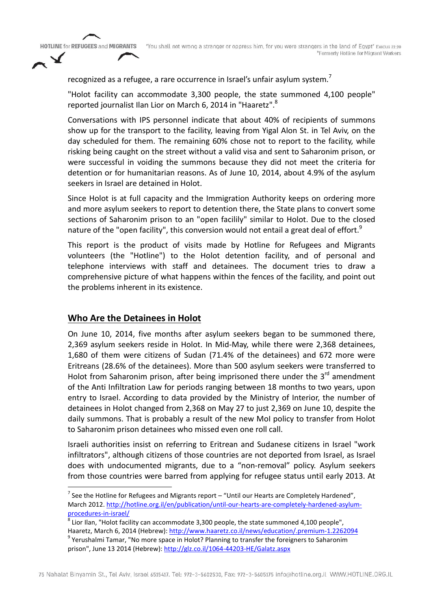"You shall not wrong a stranger or oppress him, for you were strangers in the land of Egypt" Exodus 22:20 \*Formerly Hotline for Migrant Workers

recognized as a refugee, a rare occurrence in Israel's unfair asylum system.<sup>7</sup>

"Holot facility can accommodate 3,300 people, the state summoned 4,100 people" reported journalist Ilan Lior on March 6, 2014 in "Haaretz".<sup>8</sup>

Conversations with IPS personnel indicate that about 40% of recipients of summons show up for the transport to the facility, leaving from Yigal Alon St. in Tel Aviv, on the day scheduled for them. The remaining 60% chose not to report to the facility, while risking being caught on the street without a valid visa and sent to Saharonim prison, or were successful in voiding the summons because they did not meet the criteria for detention or for humanitarian reasons. As of June 10, 2014, about 4.9% of the asylum seekers in Israel are detained in Holot.

Since Holot is at full capacity and the Immigration Authority keeps on ordering more and more asylum seekers to report to detention there, the State plans to convert some sections of Saharonim prison to an "open facilily" similar to Holot. Due to the closed nature of the "open facility", this conversion would not entail a great deal of effort.<sup>9</sup>

This report is the product of visits made by Hotline for Refugees and Migrants volunteers (the "Hotline") to the Holot detention facility, and of personal and telephone interviews with staff and detainees. The document tries to draw a comprehensive picture of what happens within the fences of the facility, and point out the problems inherent in its existence.

# **Who Are the Detainees in Holot**

On June 10, 2014, five months after asylum seekers began to be summoned there, 2,369 asylum seekers reside in Holot. In Mid-May, while there were 2,368 detainees, 1,680 of them were citizens of Sudan (71.4% of the detainees) and 672 more were Eritreans (28.6% of the detainees). More than 500 asylum seekers were transferred to Holot from Saharonim prison, after being imprisoned there under the  $3<sup>rd</sup>$  amendment of the Anti Infiltration Law for periods ranging between 18 months to two years, upon entry to Israel. According to data provided by the Ministry of Interior, the number of detainees in Holot changed from 2,368 on May 27 to just 2,369 on June 10, despite the daily summons. That is probably a result of the new MoI policy to transfer from Holot to Saharonim prison detainees who missed even one roll call.

Israeli authorities insist on referring to Eritrean and Sudanese citizens in Israel "work infiltrators", although citizens of those countries are not deported from Israel, as Israel does with undocumented migrants, due to a "non-removal" policy. Asylum seekers from those countries were barred from applying for refugee status until early 2013. At

 $<sup>7</sup>$  See the Hotline for Refugees and Migrants report – "Until our Hearts are Completely Hardened",</sup> March 2012. http://hotline.org.il/en/publication/until-our-hearts-are-completely-hardened-asylumprocedures-in-israel/<br><sup>8</sup> Lior Ilan, "Holot facility can accommodate 3,300 people, the state summoned 4,100 people",

Haaretz, March 6, 2014 (Hebrew): http://www.haaretz.co.il/news/education/.premium-1.2262094 9 Yerushalmi Tamar, "No more space in Holot? Planning to transfer the foreigners to Saharonim prison", June 13 2014 (Hebrew): http://glz.co.il/1064-44203-HE/Galatz.aspx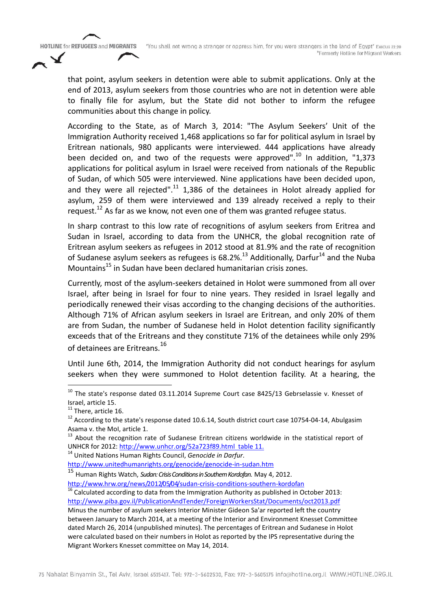"You shall not wrong a stranger or oppress him, for you were strangers in the land of Egypt" Execus 22:20 \*Formerly Hotline for Migrant Workers

that point, asylum seekers in detention were able to submit applications. Only at the end of 2013, asylum seekers from those countries who are not in detention were able to finally file for asylum, but the State did not bother to inform the refugee communities about this change in policy.

According to the State, as of March 3, 2014: "The Asylum Seekers' Unit of the Immigration Authority received 1,468 applications so far for political asylum in Israel by Eritrean nationals, 980 applicants were interviewed. 444 applications have already been decided on, and two of the requests were approved".<sup>10</sup> In addition, "1,373 applications for political asylum in Israel were received from nationals of the Republic of Sudan, of which 505 were interviewed. Nine applications have been decided upon, and they were all rejected".<sup>11</sup> 1,386 of the detainees in Holot already applied for asylum, 259 of them were interviewed and 139 already received a reply to their request.<sup>12</sup> As far as we know, not even one of them was granted refugee status.

In sharp contrast to this low rate of recognitions of asylum seekers from Eritrea and Sudan in Israel, according to data from the UNHCR, the global recognition rate of Eritrean asylum seekers as refugees in 2012 stood at 81.9% and the rate of recognition of Sudanese asylum seekers as refugees is  $68.2\%$ .<sup>13</sup> Additionally, Darfur<sup>14</sup> and the Nuba Mountains<sup>15</sup> in Sudan have been declared humanitarian crisis zones.

Currently, most of the asylum-seekers detained in Holot were summoned from all over Israel, after being in Israel for four to nine years. They resided in Israel legally and periodically renewed their visas according to the changing decisions of the authorities. Although 71% of African asylum seekers in Israel are Eritrean, and only 20% of them are from Sudan, the number of Sudanese held in Holot detention facility significantly exceeds that of the Eritreans and they constitute 71% of the detainees while only 29% of detainees are Eritreans.<sup>16</sup>

Until June 6th, 2014, the Immigration Authority did not conduct hearings for asylum seekers when they were summoned to Holot detention facility. At a hearing, the

**HOTLINE for REFUGEES and MIGRANTS** 

 $10$  The state's response dated 03.11.2014 Supreme Court case 8425/13 Gebrselassie v. Knesset of

Israel, article 15.<br><sup>11</sup> There, article 16.<br><sup>12</sup> According to the state's response dated 10.6.14, South district court case 10754-04-14, Abulgasim Asama v. the MoI, article 1.

<sup>&</sup>lt;sup>13</sup> About the recognition rate of Sudanese Eritrean citizens worldwide in the statistical report of UNHCR for 2012: http://www.unhcr.org/52a723f89.html table 11. <sup>14</sup> United Nations Human Rights Council, *Genocide in Darfur*.

http://www.unitedhumanrights.org/genocide/genocide-in-sudan.htm

<sup>&</sup>lt;sup>15</sup> Human Rights Watch, *Sudan: Crisis Conditions in Southern Kordofan*. May 4, 2012.<br>http://www.hrw.org/news/2012/05/04/sudan-crisis-conditions-southern-kordofan

 $\frac{16}{16}$  Calculated according to data from the Immigration Authority as published in October 2013: http://www.piba.gov.il/PublicationAndTender/ForeignWorkersStat/Documents/oct2013.pdf Minus the number of asylum seekers Interior Minister Gideon Sa'ar reported left the country between January to March 2014, at a meeting of the Interior and Environment Knesset Committee dated March 26, 2014 (unpublished minutes). The percentages of Eritrean and Sudanese in Holot were calculated based on their numbers in Holot as reported by the IPS representative during the Migrant Workers Knesset committee on May 14, 2014.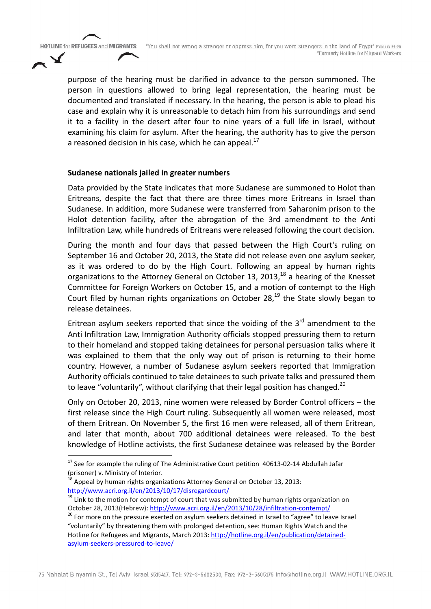purpose of the hearing must be clarified in advance to the person summoned. The person in questions allowed to bring legal representation, the hearing must be documented and translated if necessary. In the hearing, the person is able to plead his case and explain why it is unreasonable to detach him from his surroundings and send it to a facility in the desert after four to nine years of a full life in Israel, without examining his claim for asylum. After the hearing, the authority has to give the person a reasoned decision in his case, which he can appeal. $^{17}$ 

#### **Sudanese nationals jailed in greater numbers**

Data provided by the State indicates that more Sudanese are summoned to Holot than Eritreans, despite the fact that there are three times more Eritreans in Israel than Sudanese. In addition, more Sudanese were transferred from Saharonim prison to the Holot detention facility, after the abrogation of the 3rd amendment to the Anti Infiltration Law, while hundreds of Eritreans were released following the court decision.

During the month and four days that passed between the High Court's ruling on September 16 and October 20, 2013, the State did not release even one asylum seeker, as it was ordered to do by the High Court. Following an appeal by human rights organizations to the Attorney General on October 13, 2013, $^{18}$  a hearing of the Knesset Committee for Foreign Workers on October 15, and a motion of contempt to the High Court filed by human rights organizations on October 28, $^{19}$  the State slowly began to release detainees.

Eritrean asylum seekers reported that since the voiding of the  $3<sup>rd</sup>$  amendment to the Anti Infiltration Law, Immigration Authority officials stopped pressuring them to return to their homeland and stopped taking detainees for personal persuasion talks where it was explained to them that the only way out of prison is returning to their home country. However, a number of Sudanese asylum seekers reported that Immigration Authority officials continued to take detainees to such private talks and pressured them to leave "voluntarily", without clarifying that their legal position has changed.<sup>20</sup>

Only on October 20, 2013, nine women were released by Border Control officers – the first release since the High Court ruling. Subsequently all women were released, most of them Eritrean. On November 5, the first 16 men were released, all of them Eritrean, and later that month, about 700 additional detainees were released. To the best knowledge of Hotline activists, the first Sudanese detainee was released by the Border

 $17$  See for example the ruling of The Administrative Court petition 40613-02-14 Abdullah Jafar (prisoner) v. Ministry of Interior.<br><sup>18</sup> Appeal by human rights organizations Attorney General on October 13, 2013:

http://www.acri.org.il/en/2013/10/17/disregardcourt/

 $19$  Link to the motion for contempt of court that was submitted by human rights organization on

October 28, 2013(Hebrew): http://www.acri.org.il/en/2013/10/28/infiltration-contempt/<br><sup>20</sup> For more on the pressure exerted on asylum seekers detained in Israel to "agree" to leave Israel "voluntarily" by threatening them with prolonged detention, see: Human Rights Watch and the Hotline for Refugees and Migrants, March 2013: http://hotline.org.il/en/publication/detainedasylum-seekers-pressured-to-leave/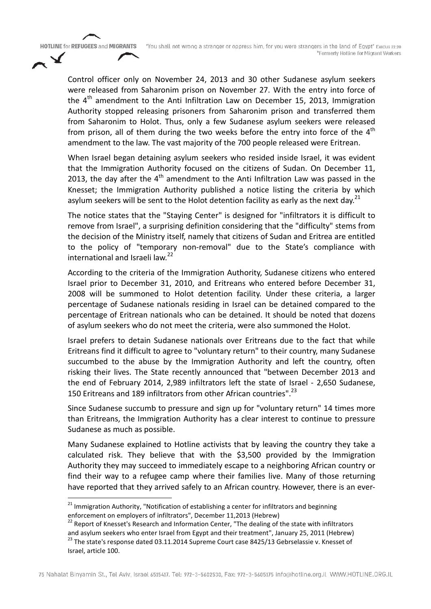Control officer only on November 24, 2013 and 30 other Sudanese asylum seekers were released from Saharonim prison on November 27. With the entry into force of the  $4<sup>th</sup>$  amendment to the Anti Infiltration Law on December 15, 2013, Immigration Authority stopped releasing prisoners from Saharonim prison and transferred them from Saharonim to Holot. Thus, only a few Sudanese asylum seekers were released from prison, all of them during the two weeks before the entry into force of the  $4<sup>th</sup>$ amendment to the law. The vast majority of the 700 people released were Eritrean.

**HOTLINE for REFUGEES and MIGRANTS** 

When Israel began detaining asylum seekers who resided inside Israel, it was evident that the Immigration Authority focused on the citizens of Sudan. On December 11, 2013, the day after the  $4<sup>th</sup>$  amendment to the Anti Infiltration Law was passed in the Knesset; the Immigration Authority published a notice listing the criteria by which asylum seekers will be sent to the Holot detention facility as early as the next day.<sup>21</sup>

The notice states that the "Staying Center" is designed for "infiltrators it is difficult to remove from Israel", a surprising definition considering that the "difficulty" stems from the decision of the Ministry itself, namely that citizens of Sudan and Eritrea are entitled to the policy of "temporary non-removal" due to the State's compliance with international and Israeli law.<sup>22</sup>

According to the criteria of the Immigration Authority, Sudanese citizens who entered Israel prior to December 31, 2010, and Eritreans who entered before December 31, 2008 will be summoned to Holot detention facility. Under these criteria, a larger percentage of Sudanese nationals residing in Israel can be detained compared to the percentage of Eritrean nationals who can be detained. It should be noted that dozens of asylum seekers who do not meet the criteria, were also summoned the Holot.

Israel prefers to detain Sudanese nationals over Eritreans due to the fact that while Eritreans find it difficult to agree to "voluntary return" to their country, many Sudanese succumbed to the abuse by the Immigration Authority and left the country, often risking their lives. The State recently announced that "between December 2013 and the end of February 2014, 2,989 infiltrators left the state of Israel - 2,650 Sudanese, 150 Eritreans and 189 infiltrators from other African countries".<sup>23</sup>

Since Sudanese succumb to pressure and sign up for "voluntary return" 14 times more than Eritreans, the Immigration Authority has a clear interest to continue to pressure Sudanese as much as possible.

Many Sudanese explained to Hotline activists that by leaving the country they take a calculated risk. They believe that with the \$3,500 provided by the Immigration Authority they may succeed to immediately escape to a neighboring African country or find their way to a refugee camp where their families live. Many of those returning have reported that they arrived safely to an African country. However, there is an ever-

<sup>&</sup>lt;sup>21</sup> Immigration Authority, "Notification of establishing a center for infiltrators and beginning

enforcement on employers of infiltrators", December 11,2013 (Hebrew)<br><sup>22</sup> Report of Knesset's Research and Information Center, "The dealing of the state with infiltrators and asylum seekers who enter Israel from Egypt and their treatment", January 25, 2011 (Hebrew)  $^{23}$  The state's response dated 03.11.2014 Supreme Court case 8425/13 Gebrselassie v. Knesset of Israel, article 100.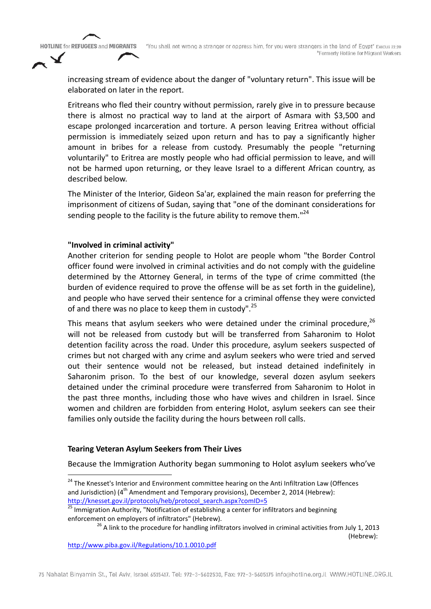"You shall not wrong a stranger or oppress him, for you were strangers in the land of Egypt" Exodus 22:20 \*Formerly Hotline for Migrant Workers

increasing stream of evidence about the danger of "voluntary return". This issue will be elaborated on later in the report.

Eritreans who fled their country without permission, rarely give in to pressure because there is almost no practical way to land at the airport of Asmara with \$3,500 and escape prolonged incarceration and torture. A person leaving Eritrea without official permission is immediately seized upon return and has to pay a significantly higher amount in bribes for a release from custody. Presumably the people "returning voluntarily" to Eritrea are mostly people who had official permission to leave, and will not be harmed upon returning, or they leave Israel to a different African country, as described below.

The Minister of the Interior, Gideon Sa'ar, explained the main reason for preferring the imprisonment of citizens of Sudan, saying that "one of the dominant considerations for sending people to the facility is the future ability to remove them."<sup>24</sup>

#### **"Involved in criminal activity"**

Another criterion for sending people to Holot are people whom "the Border Control officer found were involved in criminal activities and do not comply with the guideline determined by the Attorney General, in terms of the type of crime committed (the burden of evidence required to prove the offense will be as set forth in the guideline), and people who have served their sentence for a criminal offense they were convicted of and there was no place to keep them in custody".<sup>25</sup>

This means that asylum seekers who were detained under the criminal procedure,  $^{26}$ will not be released from custody but will be transferred from Saharonim to Holot detention facility across the road. Under this procedure, asylum seekers suspected of crimes but not charged with any crime and asylum seekers who were tried and served out their sentence would not be released, but instead detained indefinitely in Saharonim prison. To the best of our knowledge, several dozen asylum seekers detained under the criminal procedure were transferred from Saharonim to Holot in the past three months, including those who have wives and children in Israel. Since women and children are forbidden from entering Holot, asylum seekers can see their families only outside the facility during the hours between roll calls.

#### **Tearing Veteran Asylum Seekers from Their Lives**

Because the Immigration Authority began summoning to Holot asylum seekers who've

(Hebrew):

<sup>&</sup>lt;sup>24</sup> The Knesset's Interior and Environment committee hearing on the Anti Infiltration Law (Offences and Jurisdiction) ( $4^{\text{th}}$  Amendment and Temporary provisions), December 2, 2014 (Hebrew):<br>http://knesset.gov.il/protocols/heb/protocol search.aspx?comID=5

<sup>&</sup>lt;sup>25</sup> Immigration Authority, "Notification of establishing a center for infiltrators and beginning enforcement on employers of infiltrators" (Hebrew).<br><sup>26</sup> A link to the procedure for handling infiltrators involved in criminal activities from July 1, 2013

http://www.piba.gov.il/Regulations/10.1.0010.pdf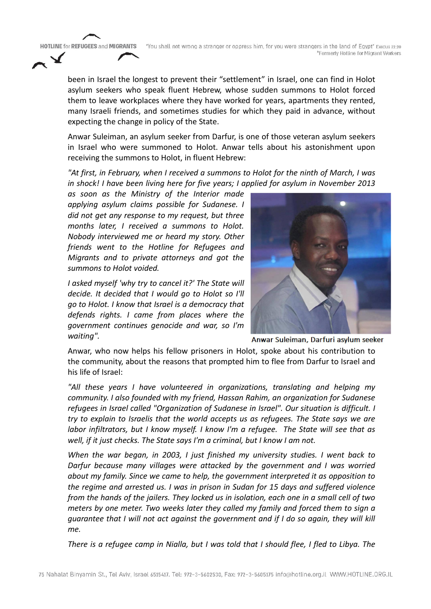"You shall not wrong a stranger or oppress him, for you were strangers in the land of Egypt" Execus 22:20 \*Formerly Hotline for Migrant Workers

been in Israel the longest to prevent their "settlement" in Israel, one can find in Holot asylum seekers who speak fluent Hebrew, whose sudden summons to Holot forced them to leave workplaces where they have worked for years, apartments they rented, many Israeli friends, and sometimes studies for which they paid in advance, without expecting the change in policy of the State.

Anwar Suleiman, an asylum seeker from Darfur, is one of those veteran asylum seekers in Israel who were summoned to Holot. Anwar tells about his astonishment upon receiving the summons to Holot, in fluent Hebrew:

*"At first, in February, when I received a summons to Holot for the ninth of March, I was in shock! I have been living here for five years; I applied for asylum in November 2013* 

*as soon as the Ministry of the Interior made applying asylum claims possible for Sudanese. I did not get any response to my request, but three months later, I received a summons to Holot. Nobody interviewed me or heard my story. Other friends went to the Hotline for Refugees and Migrants and to private attorneys and got the summons to Holot voided.* 

**HOTLINE for REFUGEES and MIGRANTS** 

*I asked myself 'why try to cancel it?' The State will decide. It decided that I would go to Holot so I'll go to Holot. I know that Israel is a democracy that defends rights. I came from places where the government continues genocide and war, so I'm waiting".* 



Anwar Suleiman, Darfuri asylum seeker

Anwar, who now helps his fellow prisoners in Holot, spoke about his contribution to the community, about the reasons that prompted him to flee from Darfur to Israel and his life of Israel:

*"All these years I have volunteered in organizations, translating and helping my community. I also founded with my friend, Hassan Rahim, an organization for Sudanese refugees in Israel called "Organization of Sudanese in Israel". Our situation is difficult. I try to explain to Israelis that the world accepts us as refugees. The State says we are labor infiltrators, but I know myself. I know I'm a refugee. The State will see that as well, if it just checks. The State says I'm a criminal, but I know I am not.*

*When the war began, in 2003, I just finished my university studies. I went back to Darfur because many villages were attacked by the government and I was worried about my family. Since we came to help, the government interpreted it as opposition to the regime and arrested us. I was in prison in Sudan for 15 days and suffered violence from the hands of the jailers. They locked us in isolation, each one in a small cell of two meters by one meter. Two weeks later they called my family and forced them to sign a guarantee that I will not act against the government and if I do so again, they will kill me.*

*There is a refugee camp in Nialla, but I was told that I should flee, I fled to Libya. The*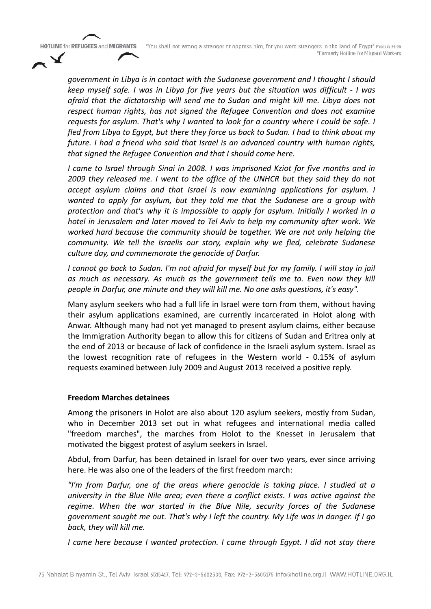"You shall not wrong a stranger or oppress him, for you were strangers in the land of Egypt" Execus 22:20 \*Formerly Hotline for Migrant Workers

*government in Libya is in contact with the Sudanese government and I thought I should keep myself safe. I was in Libya for five years but the situation was difficult - I was afraid that the dictatorship will send me to Sudan and might kill me. Libya does not respect human rights, has not signed the Refugee Convention and does not examine requests for asylum. That's why I wanted to look for a country where I could be safe. I fled from Libya to Egypt, but there they force us back to Sudan. I had to think about my future. I had a friend who said that Israel is an advanced country with human rights, that signed the Refugee Convention and that I should come here.*

*I came to Israel through Sinai in 2008. I was imprisoned Kziot for five months and in 2009 they released me. I went to the office of the UNHCR but they said they do not accept asylum claims and that Israel is now examining applications for asylum. I wanted to apply for asylum, but they told me that the Sudanese are a group with protection and that's why it is impossible to apply for asylum. Initially I worked in a hotel in Jerusalem and later moved to Tel Aviv to help my community after work. We worked hard because the community should be together. We are not only helping the community. We tell the Israelis our story, explain why we fled, celebrate Sudanese culture day, and commemorate the genocide of Darfur.*

*I cannot go back to Sudan. I'm not afraid for myself but for my family. I will stay in jail as much as necessary. As much as the government tells me to. Even now they kill people in Darfur, one minute and they will kill me. No one asks questions, it's easy".*

Many asylum seekers who had a full life in Israel were torn from them, without having their asylum applications examined, are currently incarcerated in Holot along with Anwar. Although many had not yet managed to present asylum claims, either because the Immigration Authority began to allow this for citizens of Sudan and Eritrea only at the end of 2013 or because of lack of confidence in the Israeli asylum system. Israel as the lowest recognition rate of refugees in the Western world - 0.15% of asylum requests examined between July 2009 and August 2013 received a positive reply.

#### **Freedom Marches detainees**

Among the prisoners in Holot are also about 120 asylum seekers, mostly from Sudan, who in December 2013 set out in what refugees and international media called "freedom marches", the marches from Holot to the Knesset in Jerusalem that motivated the biggest protest of asylum seekers in Israel.

Abdul, from Darfur, has been detained in Israel for over two years, ever since arriving here. He was also one of the leaders of the first freedom march:

*"I'm from Darfur, one of the areas where genocide is taking place. I studied at a university in the Blue Nile area; even there a conflict exists. I was active against the regime. When the war started in the Blue Nile, security forces of the Sudanese government sought me out. That's why I left the country. My Life was in danger. If I go back, they will kill me.*

*I came here because I wanted protection. I came through Egypt. I did not stay there*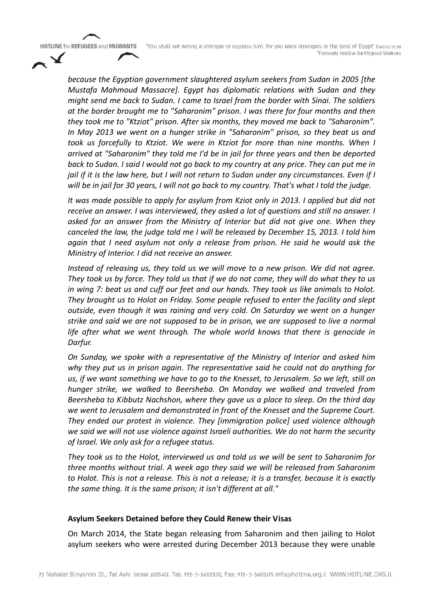"You shall not wrong a stranger or oppress him, for you were strangers in the land of Egypt" Execus 22:20 \*Formerly Hotline for Migrant Workers

*because the Egyptian government slaughtered asylum seekers from Sudan in 2005 [the Mustafa Mahmoud Massacre]. Egypt has diplomatic relations with Sudan and they might send me back to Sudan. I came to Israel from the border with Sinai. The soldiers at the border brought me to "Saharonim" prison. I was there for four months and then they took me to "Ktziot" prison. After six months, they moved me back to "Saharonim". In May 2013 we went on a hunger strike in "Saharonim" prison, so they beat us and took us forcefully to Ktziot. We were in Ktziot for more than nine months. When I arrived at "Saharonim" they told me I'd be in jail for three years and then be deported back to Sudan. I said I would not go back to my country at any price. They can put me in jail if it is the law here, but I will not return to Sudan under any circumstances. Even if I will be in jail for 30 years, I will not go back to my country. That's what I told the judge.*

*It was made possible to apply for asylum from Kziot only in 2013. I applied but did not receive an answer. I was interviewed, they asked a lot of questions and still no answer. I asked for an answer from the Ministry of Interior but did not give one. When they canceled the law, the judge told me I will be released by December 15, 2013. I told him again that I need asylum not only a release from prison. He said he would ask the Ministry of Interior. I did not receive an answer.*

*Instead of releasing us, they told us we will move to a new prison. We did not agree. They took us by force. They told us that if we do not come, they will do what they to us in wing 7: beat us and cuff our feet and our hands. They took us like animals to Holot. They brought us to Holot on Friday. Some people refused to enter the facility and slept outside, even though it was raining and very cold. On Saturday we went on a hunger strike and said we are not supposed to be in prison, we are supposed to live a normal life after what we went through. The whole world knows that there is genocide in Darfur.*

*On Sunday, we spoke with a representative of the Ministry of Interior and asked him why they put us in prison again. The representative said he could not do anything for us, if we want something we have to go to the Knesset, to Jerusalem. So we left, still on hunger strike, we walked to Beersheba. On Monday we walked and traveled from Beersheba to Kibbutz Nachshon, where they gave us a place to sleep. On the third day we went to Jerusalem and demonstrated in front of the Knesset and the Supreme Court. They ended our protest in violence. They [immigration police] used violence although we said we will not use violence against Israeli authorities. We do not harm the security of Israel. We only ask for a refugee status.*

*They took us to the Holot, interviewed us and told us we will be sent to Saharonim for three months without trial. A week ago they said we will be released from Saharonim to Holot. This is not a release. This is not a release; it is a transfer, because it is exactly the same thing. It is the same prison; it isn't different at all."*

#### **Asylum Seekers Detained before they Could Renew their Visas**

On March 2014, the State began releasing from Saharonim and then jailing to Holot asylum seekers who were arrested during December 2013 because they were unable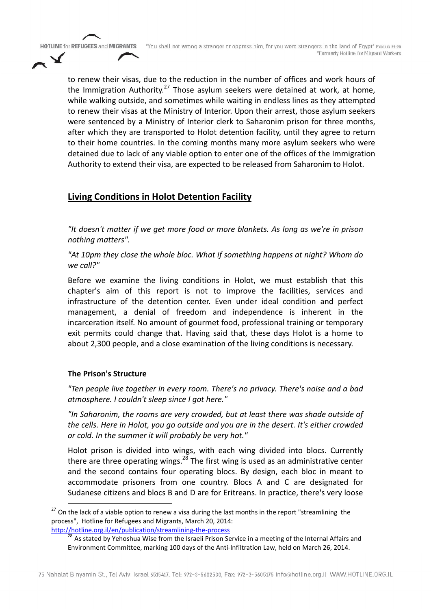to renew their visas, due to the reduction in the number of offices and work hours of the Immigration Authority.<sup>27</sup> Those asylum seekers were detained at work, at home, while walking outside, and sometimes while waiting in endless lines as they attempted to renew their visas at the Ministry of Interior. Upon their arrest, those asylum seekers were sentenced by a Ministry of Interior clerk to Saharonim prison for three months, after which they are transported to Holot detention facility, until they agree to return to their home countries. In the coming months many more asylum seekers who were detained due to lack of any viable option to enter one of the offices of the Immigration Authority to extend their visa, are expected to be released from Saharonim to Holot.

# **Living Conditions in Holot Detention Facility**

*"It doesn't matter if we get more food or more blankets. As long as we're in prison nothing matters".*

*"At 10pm they close the whole bloc. What if something happens at night? Whom do we call?"*

Before we examine the living conditions in Holot, we must establish that this chapter's aim of this report is not to improve the facilities, services and infrastructure of the detention center. Even under ideal condition and perfect management, a denial of freedom and independence is inherent in the incarceration itself. No amount of gourmet food, professional training or temporary exit permits could change that. Having said that, these days Holot is a home to about 2,300 people, and a close examination of the living conditions is necessary.

### **The Prison's Structure**

*"Ten people live together in every room. There's no privacy. There's noise and a bad atmosphere. I couldn't sleep since I got here."*

*"In Saharonim, the rooms are very crowded, but at least there was shade outside of the cells. Here in Holot, you go outside and you are in the desert. It's either crowded or cold. In the summer it will probably be very hot."*

Holot prison is divided into wings, with each wing divided into blocs. Currently there are three operating wings.<sup>28</sup> The first wing is used as an administrative center and the second contains four operating blocs. By design, each bloc in meant to accommodate prisoners from one country. Blocs A and C are designated for Sudanese citizens and blocs B and D are for Eritreans. In practice, there's very loose

<sup>&</sup>lt;sup>27</sup> On the lack of a viable option to renew a visa during the last months in the report "streamlining the process", Hotline for Refugees and Migrants, March 20, 2014:

http://hotline.org.il/en/publication/streamlining-the-process<br><sup>28</sup> As stated by Yehoshua Wise from the Israeli Prison Service in a meeting of the Internal Affairs and Environment Committee, marking 100 days of the Anti-Infiltration Law, held on March 26, 2014.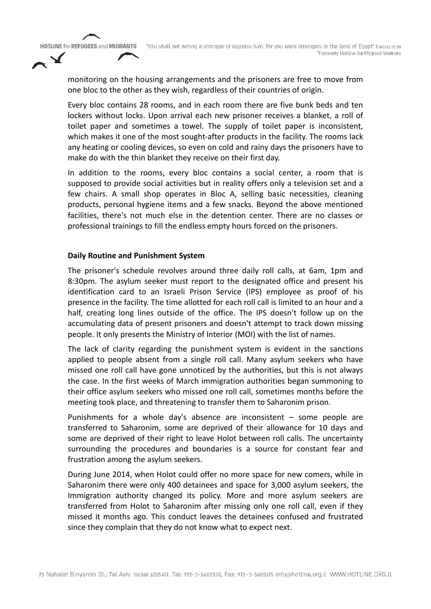"You shall not wrong a stranger or oppress him, for you were strangers in the land of Egypt" Execus 22:20 \*Formerly Hotline for Migrant Workers

**HOTLINE for REFUGEES and MIGRANTS** 

monitoring on the housing arrangements and the prisoners are free to move from one bloc to the other as they wish, regardless of their countries of origin.

Every bloc contains 28 rooms, and in each room there are five bunk beds and ten lockers without locks. Upon arrival each new prisoner receives a blanket, a roll of toilet paper and sometimes a towel. The supply of toilet paper is inconsistent, which makes it one of the most sought-after products in the facility. The rooms lack any heating or cooling devices, so even on cold and rainy days the prisoners have to make do with the thin blanket they receive on their first day.

In addition to the rooms, every bloc contains a social center, a room that is supposed to provide social activities but in reality offers only a television set and a few chairs. A small shop operates in Bloc A, selling basic necessities, cleaning products, personal hygiene items and a few snacks. Beyond the above mentioned facilities, there's not much else in the detention center. There are no classes or professional trainings to fill the endless empty hours forced on the prisoners.

#### **Daily Routine and Punishment System**

The prisoner's schedule revolves around three daily roll calls, at 6am, 1pm and 8:30pm. The asylum seeker must report to the designated office and present his identification card to an Israeli Prison Service (IPS) employee as proof of his presence in the facility. The time allotted for each roll call is limited to an hour and a half, creating long lines outside of the office. The IPS doesn't follow up on the accumulating data of present prisoners and doesn't attempt to track down missing people. It only presents the Ministry of Interior (MOI) with the list of names.

The lack of clarity regarding the punishment system is evident in the sanctions applied to people absent from a single roll call. Many asylum seekers who have missed one roll call have gone unnoticed by the authorities, but this is not always the case. In the first weeks of March immigration authorities began summoning to their office asylum seekers who missed one roll call, sometimes months before the meeting took place, and threatening to transfer them to Saharonim prison.

Punishments for a whole day's absence are inconsistent – some people are transferred to Saharonim, some are deprived of their allowance for 10 days and some are deprived of their right to leave Holot between roll calls. The uncertainty surrounding the procedures and boundaries is a source for constant fear and frustration among the asylum seekers.

During June 2014, when Holot could offer no more space for new comers, while in Saharonim there were only 400 detainees and space for 3,000 asylum seekers, the Immigration authority changed its policy. More and more asylum seekers are transferred from Holot to Saharonim after missing only one roll call, even if they missed it months ago. This conduct leaves the detainees confused and frustrated since they complain that they do not know what to expect next.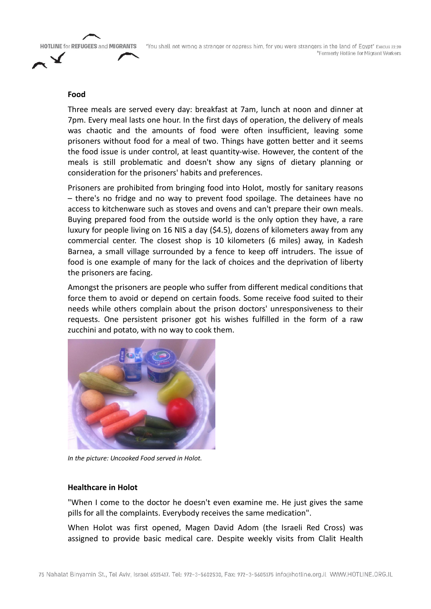

#### **Food**

Three meals are served every day: breakfast at 7am, lunch at noon and dinner at 7pm. Every meal lasts one hour. In the first days of operation, the delivery of meals was chaotic and the amounts of food were often insufficient, leaving some prisoners without food for a meal of two. Things have gotten better and it seems the food issue is under control, at least quantity-wise. However, the content of the meals is still problematic and doesn't show any signs of dietary planning or consideration for the prisoners' habits and preferences.

Prisoners are prohibited from bringing food into Holot, mostly for sanitary reasons – there's no fridge and no way to prevent food spoilage. The detainees have no access to kitchenware such as stoves and ovens and can't prepare their own meals. Buying prepared food from the outside world is the only option they have, a rare luxury for people living on 16 NIS a day (\$4.5), dozens of kilometers away from any commercial center. The closest shop is 10 kilometers (6 miles) away, in Kadesh Barnea, a small village surrounded by a fence to keep off intruders. The issue of food is one example of many for the lack of choices and the deprivation of liberty the prisoners are facing.

Amongst the prisoners are people who suffer from different medical conditions that force them to avoid or depend on certain foods. Some receive food suited to their needs while others complain about the prison doctors' unresponsiveness to their requests. One persistent prisoner got his wishes fulfilled in the form of a raw zucchini and potato, with no way to cook them.



*In the picture: Uncooked Food served in Holot.*

#### **Healthcare in Holot**

"When I come to the doctor he doesn't even examine me. He just gives the same pills for all the complaints. Everybody receives the same medication".

When Holot was first opened, Magen David Adom (the Israeli Red Cross) was assigned to provide basic medical care. Despite weekly visits from Clalit Health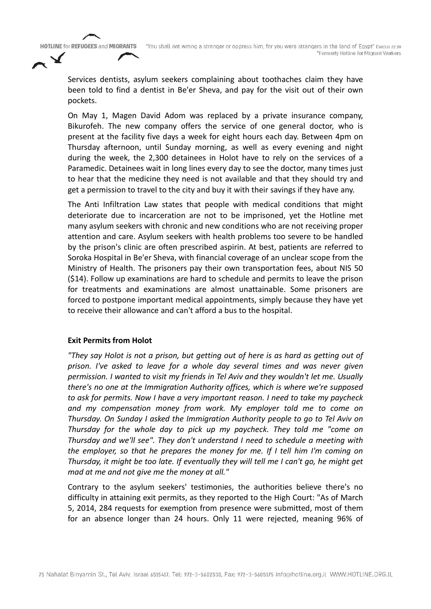Services dentists, asylum seekers complaining about toothaches claim they have been told to find a dentist in Be'er Sheva, and pay for the visit out of their own pockets.

On May 1, Magen David Adom was replaced by a private insurance company, Bikurofeh. The new company offers the service of one general doctor, who is present at the facility five days a week for eight hours each day. Between 4pm on Thursday afternoon, until Sunday morning, as well as every evening and night during the week, the 2,300 detainees in Holot have to rely on the services of a Paramedic. Detainees wait in long lines every day to see the doctor, many times just to hear that the medicine they need is not available and that they should try and get a permission to travel to the city and buy it with their savings if they have any.

The Anti Infiltration Law states that people with medical conditions that might deteriorate due to incarceration are not to be imprisoned, yet the Hotline met many asylum seekers with chronic and new conditions who are not receiving proper attention and care. Asylum seekers with health problems too severe to be handled by the prison's clinic are often prescribed aspirin. At best, patients are referred to Soroka Hospital in Be'er Sheva, with financial coverage of an unclear scope from the Ministry of Health. The prisoners pay their own transportation fees, about NIS 50 (\$14). Follow up examinations are hard to schedule and permits to leave the prison for treatments and examinations are almost unattainable. Some prisoners are forced to postpone important medical appointments, simply because they have yet to receive their allowance and can't afford a bus to the hospital.

#### **Exit Permits from Holot**

*"They say Holot is not a prison, but getting out of here is as hard as getting out of prison. I've asked to leave for a whole day several times and was never given permission. I wanted to visit my friends in Tel Aviv and they wouldn't let me. Usually there's no one at the Immigration Authority offices, which is where we're supposed to ask for permits. Now I have a very important reason. I need to take my paycheck and my compensation money from work. My employer told me to come on Thursday. On Sunday I asked the Immigration Authority people to go to Tel Aviv on Thursday for the whole day to pick up my paycheck. They told me "come on Thursday and we'll see". They don't understand I need to schedule a meeting with the employer, so that he prepares the money for me. If I tell him I'm coming on Thursday, it might be too late. If eventually they will tell me I can't go, he might get mad at me and not give me the money at all."*

Contrary to the asylum seekers' testimonies, the authorities believe there's no difficulty in attaining exit permits, as they reported to the High Court: "As of March 5, 2014, 284 requests for exemption from presence were submitted, most of them for an absence longer than 24 hours. Only 11 were rejected, meaning 96% of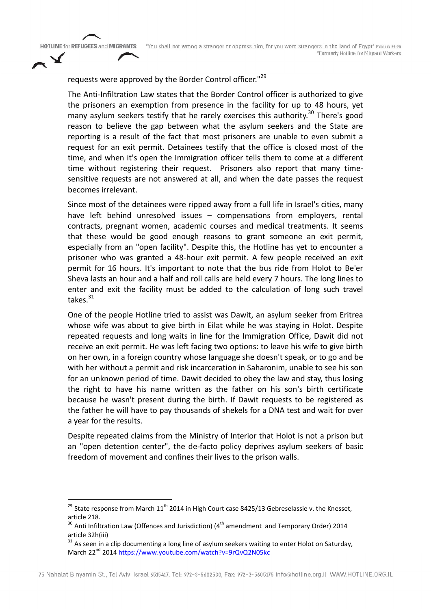# requests were approved by the Border Control officer."<sup>29</sup>

The Anti-Infiltration Law states that the Border Control officer is authorized to give the prisoners an exemption from presence in the facility for up to 48 hours, yet many asylum seekers testify that he rarely exercises this authority.<sup>30</sup> There's good reason to believe the gap between what the asylum seekers and the State are reporting is a result of the fact that most prisoners are unable to even submit a request for an exit permit. Detainees testify that the office is closed most of the time, and when it's open the Immigration officer tells them to come at a different time without registering their request. Prisoners also report that many timesensitive requests are not answered at all, and when the date passes the request becomes irrelevant.

Since most of the detainees were ripped away from a full life in Israel's cities, many have left behind unresolved issues – compensations from employers, rental contracts, pregnant women, academic courses and medical treatments. It seems that these would be good enough reasons to grant someone an exit permit, especially from an "open facility". Despite this, the Hotline has yet to encounter a prisoner who was granted a 48-hour exit permit. A few people received an exit permit for 16 hours. It's important to note that the bus ride from Holot to Be'er Sheva lasts an hour and a half and roll calls are held every 7 hours. The long lines to enter and exit the facility must be added to the calculation of long such travel takes. $31$ 

One of the people Hotline tried to assist was Dawit, an asylum seeker from Eritrea whose wife was about to give birth in Eilat while he was staying in Holot. Despite repeated requests and long waits in line for the Immigration Office, Dawit did not receive an exit permit. He was left facing two options: to leave his wife to give birth on her own, in a foreign country whose language she doesn't speak, or to go and be with her without a permit and risk incarceration in Saharonim, unable to see his son for an unknown period of time. Dawit decided to obey the law and stay, thus losing the right to have his name written as the father on his son's birth certificate because he wasn't present during the birth. If Dawit requests to be registered as the father he will have to pay thousands of shekels for a DNA test and wait for over a year for the results.

Despite repeated claims from the Ministry of Interior that Holot is not a prison but an "open detention center", the de-facto policy deprives asylum seekers of basic freedom of movement and confines their lives to the prison walls.

<sup>&</sup>lt;sup>29</sup> State response from March 11<sup>th</sup> 2014 in High Court case 8425/13 Gebreselassie v. the Knesset, article 218.

 $30$  Anti Infiltration Law (Offences and Jurisdiction) ( $4<sup>th</sup>$  amendment and Temporary Order) 2014 article 32h(iii)

 $31$  As seen in a clip documenting a long line of asylum seekers waiting to enter Holot on Saturday, March 22<sup>nd</sup> 2014 https://www.youtube.com/watch?v=9rQvQ2N05kc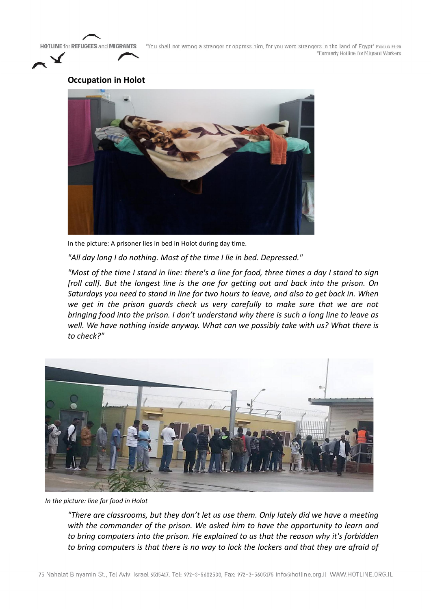"You shall not wrong a stranger or oppress him, for you were strangers in the land of Egypt" Execus 22:20 \*Formerly Hotline for Migrant Workers



# **Occupation in Holot**



In the picture: A prisoner lies in bed in Holot during day time.

*"All day long I do nothing. Most of the time I lie in bed. Depressed."*

*"Most of the time I stand in line: there's a line for food, three times a day I stand to sign [roll call]. But the longest line is the one for getting out and back into the prison. On Saturdays you need to stand in line for two hours to leave, and also to get back in. When we get in the prison guards check us very carefully to make sure that we are not bringing food into the prison. I don't understand why there is such a long line to leave as well. We have nothing inside anyway. What can we possibly take with us? What there is to check?"* 



*In the picture: line for food in Holot*

*"There are classrooms, but they don't let us use them. Only lately did we have a meeting with the commander of the prison. We asked him to have the opportunity to learn and to bring computers into the prison. He explained to us that the reason why it's forbidden to bring computers is that there is no way to lock the lockers and that they are afraid of*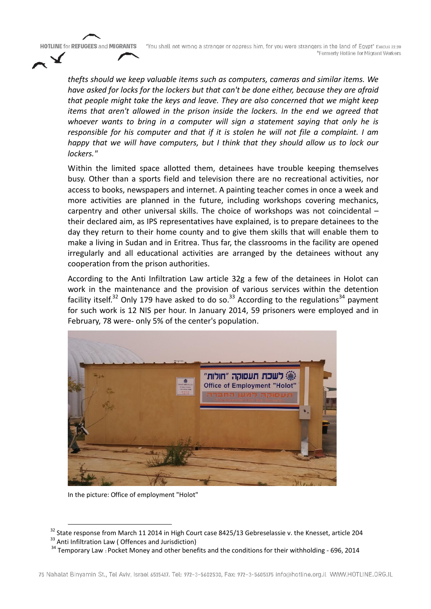"You shall not wrong a stranger or oppress him, for you were strangers in the land of Egypt" Exodus 22:20 \*Formerly Hotline for Migrant Workers

*thefts should we keep valuable items such as computers, cameras and similar items. We have asked for locks for the lockers but that can't be done either, because they are afraid that people might take the keys and leave. They are also concerned that we might keep items that aren't allowed in the prison inside the lockers. In the end we agreed that whoever wants to bring in a computer will sign a statement saying that only he is responsible for his computer and that if it is stolen he will not file a complaint. I am happy that we will have computers, but I think that they should allow us to lock our lockers."*

Within the limited space allotted them, detainees have trouble keeping themselves busy. Other than a sports field and television there are no recreational activities, nor access to books, newspapers and internet. A painting teacher comes in once a week and more activities are planned in the future, including workshops covering mechanics, carpentry and other universal skills. The choice of workshops was not coincidental – their declared aim, as IPS representatives have explained, is to prepare detainees to the day they return to their home county and to give them skills that will enable them to make a living in Sudan and in Eritrea. Thus far, the classrooms in the facility are opened irregularly and all educational activities are arranged by the detainees without any cooperation from the prison authorities.

According to the Anti Infiltration Law article 32g a few of the detainees in Holot can work in the maintenance and the provision of various services within the detention facility itself.<sup>32</sup> Only 179 have asked to do so.<sup>33</sup> According to the regulations<sup>34</sup> payment for such work is 12 NIS per hour. In January 2014, 59 prisoners were employed and in February, 78 were- only 5% of the center's population.



In the picture: Office of employment "Holot"

<sup>&</sup>lt;sup>32</sup> State response from March 11 2014 in High Court case 8425/13 Gebreselassie v. the Knesset, article 204<br><sup>33</sup> Anti Infiltration Law (Offences and Jurisdiction)<br><sup>34</sup> Temporary Law : Pocket Money and other benefits and t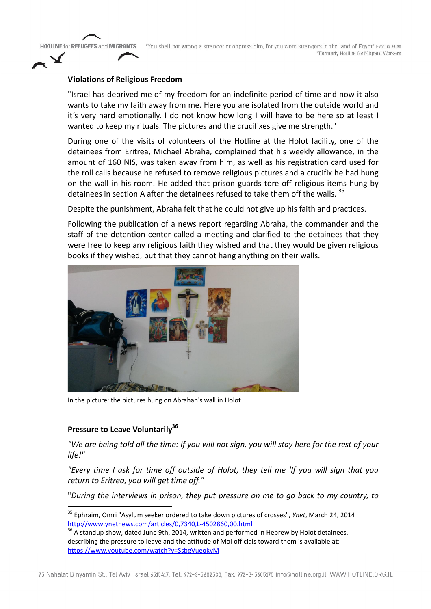"You shall not wrong a stranger or oppress him, for you were strangers in the land of Egypt" Execus 22:20 \*Formerly Hotline for Migrant Workers

#### **Violations of Religious Freedom**

"Israel has deprived me of my freedom for an indefinite period of time and now it also wants to take my faith away from me. Here you are isolated from the outside world and it's very hard emotionally. I do not know how long I will have to be here so at least I wanted to keep my rituals. The pictures and the crucifixes give me strength."

During one of the visits of volunteers of the Hotline at the Holot facility, one of the detainees from Eritrea, Michael Abraha, complained that his weekly allowance, in the amount of 160 NIS, was taken away from him, as well as his registration card used for the roll calls because he refused to remove religious pictures and a crucifix he had hung on the wall in his room. He added that prison guards tore off religious items hung by detainees in section A after the detainees refused to take them off the walls.<sup>35</sup>

Despite the punishment, Abraha felt that he could not give up his faith and practices.

Following the publication of a news report regarding Abraha, the commander and the staff of the detention center called a meeting and clarified to the detainees that they were free to keep any religious faith they wished and that they would be given religious books if they wished, but that they cannot hang anything on their walls.



In the picture: the pictures hung on Abrahah's wall in Holot

#### **Pressure to Leave Voluntarily**<sup>36</sup>

*"We are being told all the time: If you will not sign, you will stay here for the rest of your life!"*

*"Every time I ask for time off outside of Holot, they tell me 'If you will sign that you return to Eritrea, you will get time off."*

"*During the interviews in prison, they put pressure on me to go back to my country, to* 

<sup>&</sup>lt;sup>35</sup> Ephraim, Omri "Asylum seeker ordered to take down pictures of crosses", *Ynet*, March 24, 2014<br>http://www.ynetnews.com/articles/0,7340,L-4502860,00.html

 $\dot{A}$  standup show, dated June 9th, 2014, written and performed in Hebrew by Holot detainees, describing the pressure to leave and the attitude of MoI officials toward them is available at: https://www.youtube.com/watch?v=SsbgVueqkyM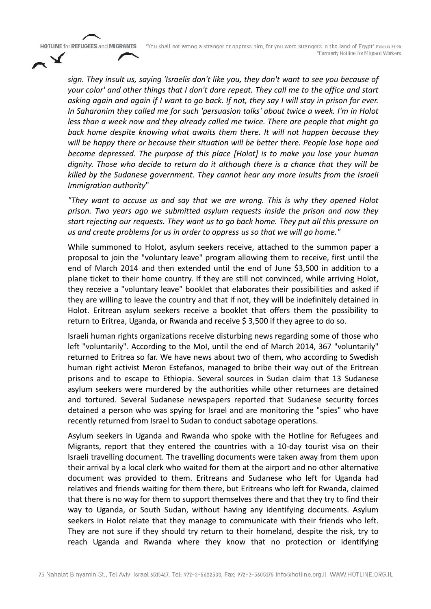"You shall not wrong a stranger or oppress him, for you were strangers in the land of Egypt" Execus 22:20 \*Formerly Hotline for Migrant Workers

*sign. They insult us, saying 'Israelis don't like you, they don't want to see you because of your color' and other things that I don't dare repeat. They call me to the office and start asking again and again if I want to go back. If not, they say I will stay in prison for ever. In Saharonim they called me for such 'persuasion talks' about twice a week. I'm in Holot less than a week now and they already called me twice. There are people that might go back home despite knowing what awaits them there. It will not happen because they will be happy there or because their situation will be better there. People lose hope and become depressed. The purpose of this place [Holot] is to make you lose your human dignity. Those who decide to return do it although there is a chance that they will be killed by the Sudanese government. They cannot hear any more insults from the Israeli Immigration authority*"

*"They want to accuse us and say that we are wrong. This is why they opened Holot prison. Two years ago we submitted asylum requests inside the prison and now they start rejecting our requests. They want us to go back home. They put all this pressure on us and create problems for us in order to oppress us so that we will go home."*

While summoned to Holot, asylum seekers receive, attached to the summon paper a proposal to join the "voluntary leave" program allowing them to receive, first until the end of March 2014 and then extended until the end of June \$3,500 in addition to a plane ticket to their home country. If they are still not convinced, while arriving Holot, they receive a "voluntary leave" booklet that elaborates their possibilities and asked if they are willing to leave the country and that if not, they will be indefinitely detained in Holot. Eritrean asylum seekers receive a booklet that offers them the possibility to return to Eritrea, Uganda, or Rwanda and receive \$3,500 if they agree to do so.

Israeli human rights organizations receive disturbing news regarding some of those who left "voluntarily". According to the MoI, until the end of March 2014, 367 "voluntarily" returned to Eritrea so far. We have news about two of them, who according to Swedish human right activist Meron Estefanos, managed to bribe their way out of the Eritrean prisons and to escape to Ethiopia. Several sources in Sudan claim that 13 Sudanese asylum seekers were murdered by the authorities while other returnees are detained and tortured. Several Sudanese newspapers reported that Sudanese security forces detained a person who was spying for Israel and are monitoring the "spies" who have recently returned from Israel to Sudan to conduct sabotage operations.

Asylum seekers in Uganda and Rwanda who spoke with the Hotline for Refugees and Migrants, report that they entered the countries with a 10-day tourist visa on their Israeli travelling document. The travelling documents were taken away from them upon their arrival by a local clerk who waited for them at the airport and no other alternative document was provided to them. Eritreans and Sudanese who left for Uganda had relatives and friends waiting for them there, but Eritreans who left for Rwanda, claimed that there is no way for them to support themselves there and that they try to find their way to Uganda, or South Sudan, without having any identifying documents. Asylum seekers in Holot relate that they manage to communicate with their friends who left. They are not sure if they should try return to their homeland, despite the risk, try to reach Uganda and Rwanda where they know that no protection or identifying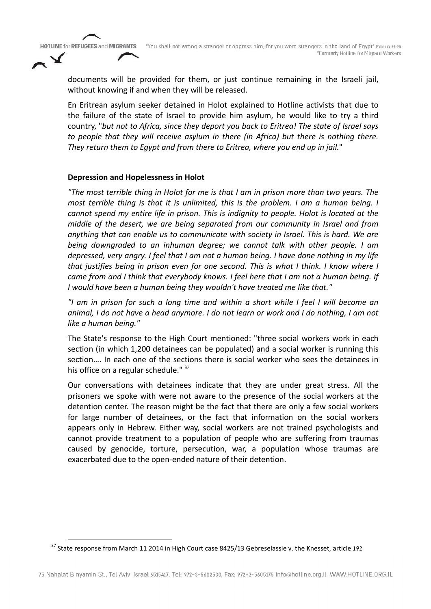documents will be provided for them, or just continue remaining in the Israeli jail, without knowing if and when they will be released.

En Eritrean asylum seeker detained in Holot explained to Hotline activists that due to the failure of the state of Israel to provide him asylum, he would like to try a third country, "*but not to Africa, since they deport you back to Eritrea! The state of Israel says to people that they will receive asylum in there (in Africa) but there is nothing there. They return them to Egypt and from there to Eritrea, where you end up in jail.*"

#### **Depression and Hopelessness in Holot**

*"The most terrible thing in Holot for me is that I am in prison more than two years. The most terrible thing is that it is unlimited, this is the problem. I am a human being. I cannot spend my entire life in prison. This is indignity to people. Holot is located at the middle of the desert, we are being separated from our community in Israel and from anything that can enable us to communicate with society in Israel. This is hard. We are being downgraded to an inhuman degree; we cannot talk with other people. I am depressed, very angry. I feel that I am not a human being. I have done nothing in my life that justifies being in prison even for one second. This is what I think. I know where I came from and I think that everybody knows. I feel here that I am not a human being. If I would have been a human being they wouldn't have treated me like that."*

*"I am in prison for such a long time and within a short while I feel I will become an animal, I do not have a head anymore. I do not learn or work and I do nothing, I am not like a human being."* 

The State's response to the High Court mentioned: "three social workers work in each section (in which 1,200 detainees can be populated) and a social worker is running this section…. In each one of the sections there is social worker who sees the detainees in his office on a regular schedule." <sup>37</sup>

Our conversations with detainees indicate that they are under great stress. All the prisoners we spoke with were not aware to the presence of the social workers at the detention center. The reason might be the fact that there are only a few social workers for large number of detainees, or the fact that information on the social workers appears only in Hebrew. Either way, social workers are not trained psychologists and cannot provide treatment to a population of people who are suffering from traumas caused by genocide, torture, persecution, war, a population whose traumas are exacerbated due to the open-ended nature of their detention.

 $37$  State response from March 11 2014 in High Court case 8425/13 Gebreselassie v. the Knesset, article 192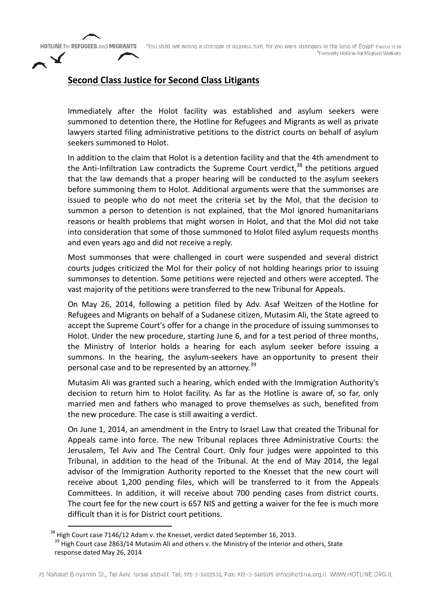"You shall not wrong a stranger or oppress him, for you were strangers in the land of Egypt" Execus 22:20 \*Formerly Hotline for Migrant Workers

# **Second Class Justice for Second Class Litigants**

Immediately after the Holot facility was established and asylum seekers were summoned to detention there, the Hotline for Refugees and Migrants as well as private lawyers started filing administrative petitions to the district courts on behalf of asylum seekers summoned to Holot.

In addition to the claim that Holot is a detention facility and that the 4th amendment to the Anti-Infiltration Law contradicts the Supreme Court verdict,<sup>38</sup> the petitions argued that the law demands that a proper hearing will be conducted to the asylum seekers before summoning them to Holot. Additional arguments were that the summonses are issued to people who do not meet the criteria set by the MoI, that the decision to summon a person to detention is not explained, that the MoI ignored humanitarians reasons or health problems that might worsen in Holot, and that the MoI did not take into consideration that some of those summoned to Holot filed asylum requests months and even years ago and did not receive a reply.

Most summonses that were challenged in court were suspended and several district courts judges criticized the MoI for their policy of not holding hearings prior to issuing summonses to detention. Some petitions were rejected and others were accepted. The vast majority of the petitions were transferred to the new Tribunal for Appeals.

On May 26, 2014, following a petition filed by Adv. Asaf Weitzen of the Hotline for Refugees and Migrants on behalf of a Sudanese citizen, Mutasim Ali, the State agreed to accept the Supreme Court's offer for a change in the procedure of issuing summonses to Holot. Under the new procedure, starting June 6, and for a test period of three months, the Ministry of Interior holds a hearing for each asylum seeker before issuing a summons. In the hearing, the asylum-seekers have an opportunity to present their personal case and to be represented by an attorney.<sup>39</sup>

Mutasim Ali was granted such a hearing, which ended with the Immigration Authority's decision to return him to Holot facility. As far as the Hotline is aware of, so far, only married men and fathers who managed to prove themselves as such, benefited from the new procedure. The case is still awaiting a verdict.

On June 1, 2014, an amendment in the Entry to Israel Law that created the Tribunal for Appeals came into force. The new Tribunal replaces three Administrative Courts: the Jerusalem, Tel Aviv and The Central Court. Only four judges were appointed to this Tribunal, in addition to the head of the Tribunal. At the end of May 2014, the legal advisor of the Immigration Authority reported to the Knesset that the new court will receive about 1,200 pending files, which will be transferred to it from the Appeals Committees. In addition, it will receive about 700 pending cases from district courts. The court fee for the new court is 657 NIS and getting a waiver for the fee is much more difficult than it is for District court petitions.

<sup>&</sup>lt;sup>38</sup> High Court case 7146/12 Adam v. the Knesset, verdict dated September 16, 2013. <sup>39</sup> High Court case 2863/14 Mutasim Ali and others v. the Ministry of the Interior and others, State response dated May 26, 2014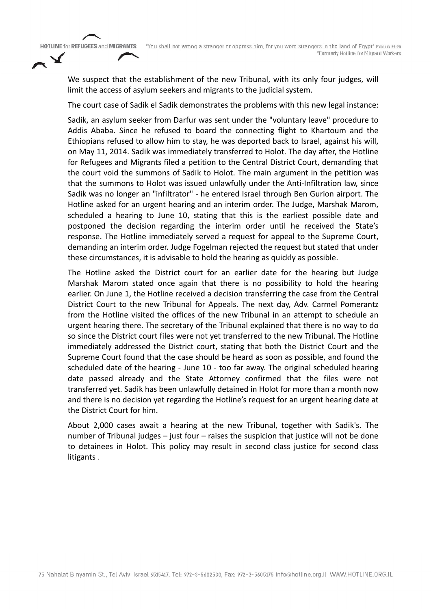"You shall not wrong a stranger or oppress him, for you were strangers in the land of Egypt" Execus 22:20 \*Formerly Hotline for Migrant Workers

We suspect that the establishment of the new Tribunal, with its only four judges, will limit the access of asylum seekers and migrants to the judicial system.

The court case of Sadik el Sadik demonstrates the problems with this new legal instance:

Sadik, an asylum seeker from Darfur was sent under the "voluntary leave" procedure to Addis Ababa. Since he refused to board the connecting flight to Khartoum and the Ethiopians refused to allow him to stay, he was deported back to Israel, against his will, on May 11, 2014. Sadik was immediately transferred to Holot. The day after, the Hotline for Refugees and Migrants filed a petition to the Central District Court, demanding that the court void the summons of Sadik to Holot. The main argument in the petition was that the summons to Holot was issued unlawfully under the Anti-Infiltration law, since Sadik was no longer an "infiltrator" - he entered Israel through Ben Gurion airport. The Hotline asked for an urgent hearing and an interim order. The Judge, Marshak Marom, scheduled a hearing to June 10, stating that this is the earliest possible date and postponed the decision regarding the interim order until he received the State's response. The Hotline immediately served a request for appeal to the Supreme Court, demanding an interim order. Judge Fogelman rejected the request but stated that under these circumstances, it is advisable to hold the hearing as quickly as possible.

The Hotline asked the District court for an earlier date for the hearing but Judge Marshak Marom stated once again that there is no possibility to hold the hearing earlier. On June 1, the Hotline received a decision transferring the case from the Central District Court to the new Tribunal for Appeals. The next day, Adv. Carmel Pomerantz from the Hotline visited the offices of the new Tribunal in an attempt to schedule an urgent hearing there. The secretary of the Tribunal explained that there is no way to do so since the District court files were not yet transferred to the new Tribunal. The Hotline immediately addressed the District court, stating that both the District Court and the Supreme Court found that the case should be heard as soon as possible, and found the scheduled date of the hearing - June 10 - too far away. The original scheduled hearing date passed already and the State Attorney confirmed that the files were not transferred yet. Sadik has been unlawfully detained in Holot for more than a month now and there is no decision yet regarding the Hotline's request for an urgent hearing date at the District Court for him.

About 2,000 cases await a hearing at the new Tribunal, together with Sadik's. The number of Tribunal judges – just four – raises the suspicion that justice will not be done to detainees in Holot. This policy may result in second class justice for second class litigants .